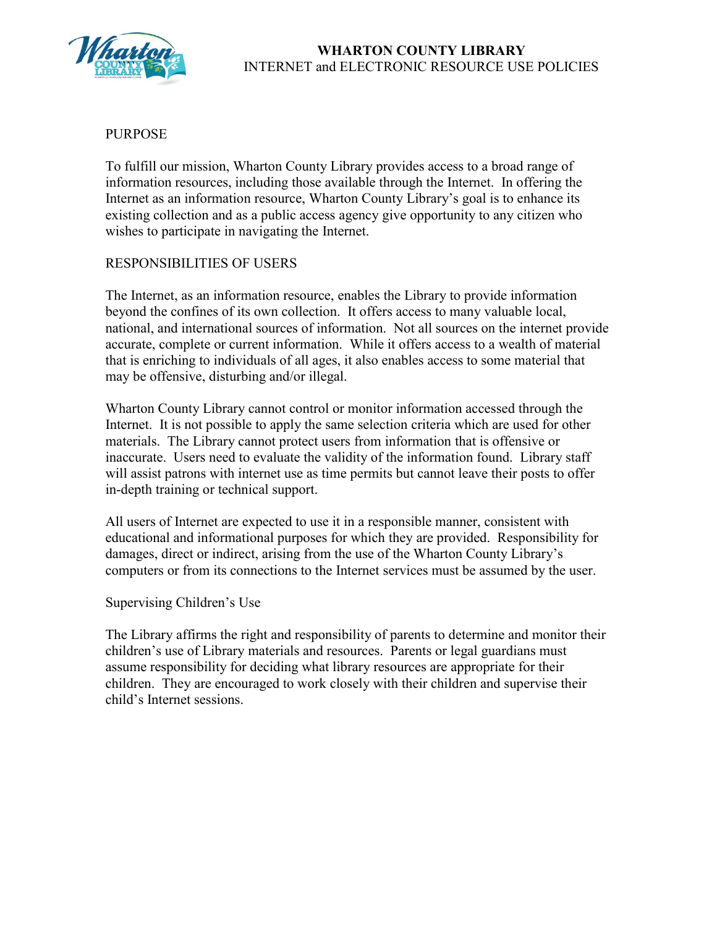

# PURPOSE

To fulfill our mission, Wharton County Library provides access to a broad range of information resources, including those available through the Internet. In offering the Internet as an information resource, Wharton County Library's goal is to enhance its existing collection and as a public access agency give opportunity to any citizen who wishes to participate in navigating the Internet.

## RESPONSIBILITIES OF USERS

The Internet, as an information resource, enables the Library to provide information beyond the confines of its own collection. It offers access to many valuable local, national, and international sources of information. Not all sources on the internet provide accurate, complete or current information. While it offers access to a wealth of material that is enriching to individuals of all ages, it also enables access to some material that may be offensive, disturbing and/or illegal.

Wharton County Library cannot control or monitor information accessed through the Internet. It is not possible to apply the same selection criteria which are used for other materials. The Library cannot protect users from information that is offensive or inaccurate. Users need to evaluate the validity of the information found. Library staff will assist patrons with internet use as time permits but cannot leave their posts to offer in-depth training or technical support.

All users of Internet are expected to use it in a responsible manner, consistent with educational and informational purposes for which they are provided. Responsibility for damages, direct or indirect, arising from the use of the Wharton County Library's computers or from its connections to the Internet services must be assumed by the user.

### Supervising Children's Use

The Library affirms the right and responsibility of parents to determine and monitor their children's use of Library materials and resources. Parents or legal guardians must assume responsibility for deciding what library resources are appropriate for their children. They are encouraged to work closely with their children and supervise their child's Internet sessions.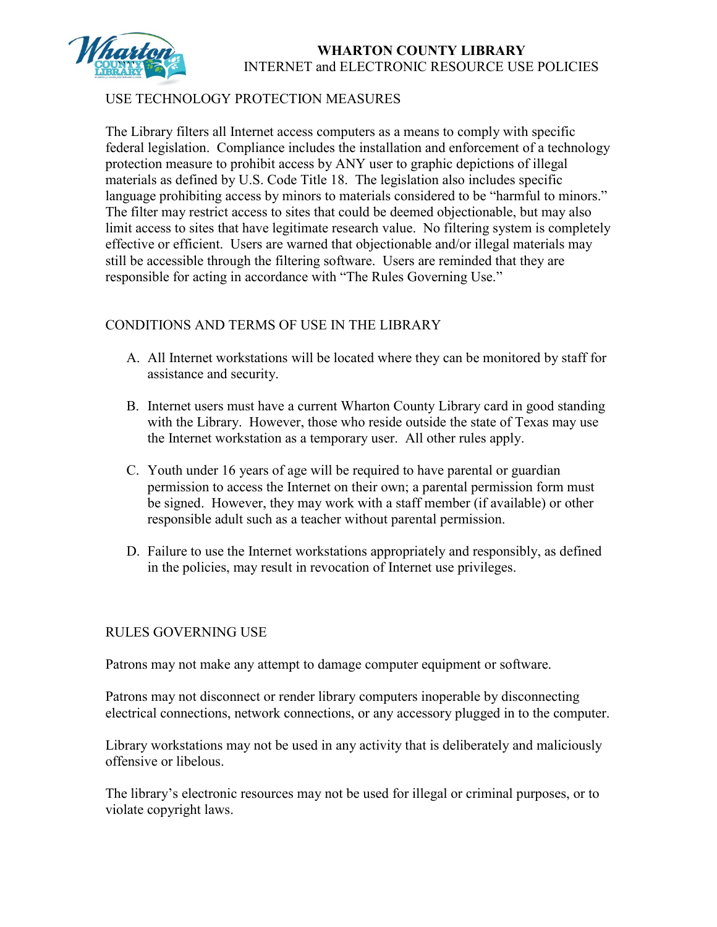

# **WHARTON COUNTY LIBRARY** INTERNET and ELECTRONIC RESOURCE USE POLICIES

# USE TECHNOLOGY PROTECTION MEASURES

The Library filters all Internet access computers as a means to comply with specific federal legislation. Compliance includes the installation and enforcement of a technology protection measure to prohibit access by ANY user to graphic depictions of illegal materials as defined by U.S. Code Title 18. The legislation also includes specific language prohibiting access by minors to materials considered to be "harmful to minors." The filter may restrict access to sites that could be deemed objectionable, but may also limit access to sites that have legitimate research value. No filtering system is completely effective or efficient. Users are warned that objectionable and/or illegal materials may still be accessible through the filtering software. Users are reminded that they are responsible for acting in accordance with "The Rules Governing Use."

## CONDITIONS AND TERMS OF USE IN THE LIBRARY

- A. All Internet workstations will be located where they can be monitored by staff for assistance and security.
- B. Internet users must have a current Wharton County Library card in good standing with the Library. However, those who reside outside the state of Texas may use the Internet workstation as a temporary user. All other rules apply.
- C. Youth under 16 years of age will be required to have parental or guardian permission to access the Internet on their own; a parental permission form must be signed. However, they may work with a staff member (if available) or other responsible adult such as a teacher without parental permission.
- D. Failure to use the Internet workstations appropriately and responsibly, as defined in the policies, may result in revocation of Internet use privileges.

### RULES GOVERNING USE

Patrons may not make any attempt to damage computer equipment or software.

Patrons may not disconnect or render library computers inoperable by disconnecting electrical connections, network connections, or any accessory plugged in to the computer.

Library workstations may not be used in any activity that is deliberately and maliciously offensive or libelous.

The library's electronic resources may not be used for illegal or criminal purposes, or to violate copyright laws.